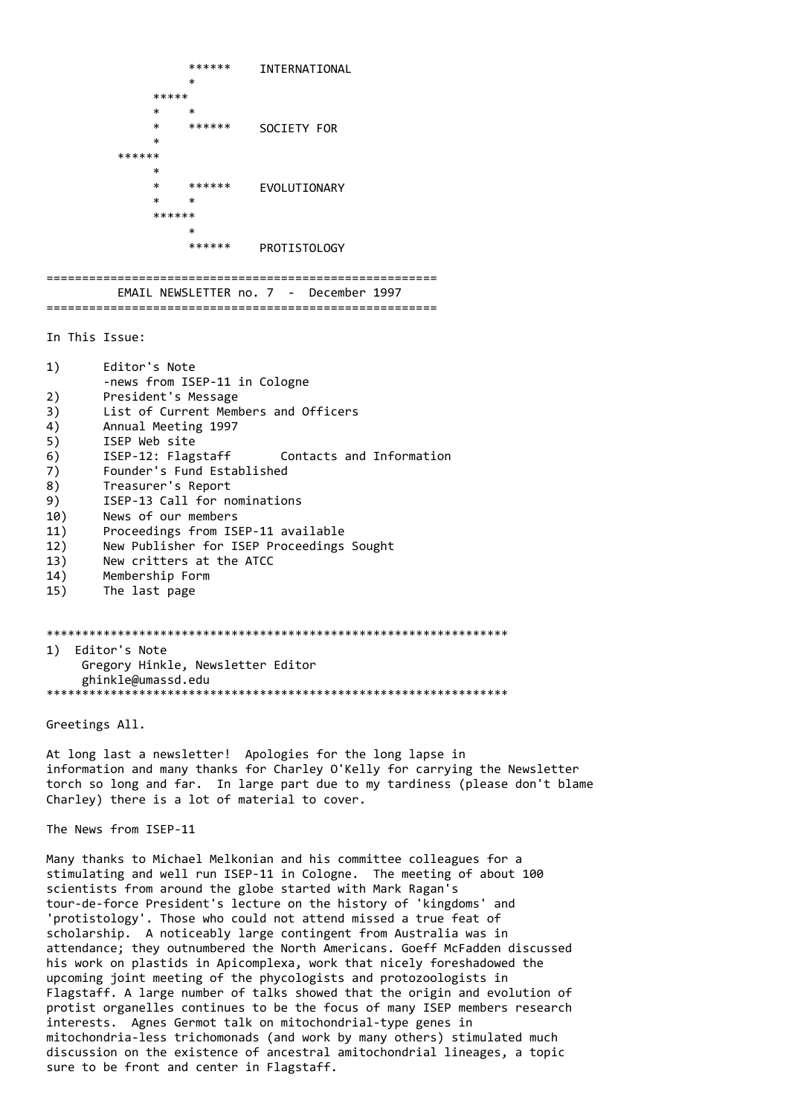```
******
                         INTERNATIONAL
            \ast*****
      \ast\ast******
                         SOCIETY FOR
******
      \ast******
      \astEVOLUTIONARY
            \ast\ast******
            ******
                         PROTISTOLOGY
```
EMAIL NEWSLETTER no. 7 - December 1997 

In This Issue:

- $1)$ Editor's Note -news from ISEP-11 in Cologne
- $2)$ President's Message
- $3)$ List of Current Members and Officers
- 4) Annual Meeting 1997
- $5)$ ISEP Web site
- $6)$ ISEP-12: Flagstaff Contacts and Information
- $7)$ Founder's Fund Established
- 8) Treasurer's Report
- 9) ISEP-13 Call for nominations
- $10)$ News of our members
- $11)$ Proceedings from ISEP-11 available
- $12)$ New Publisher for ISEP Proceedings Sought
- $13)$ New critters at the ATCC
- $14)$ Membership Form
- $15)$ The last page

1) Editor's Note Gregory Hinkle, Newsletter Editor ghinkle@umassd.edu 

Greetings All.

At long last a newsletter! Apologies for the long lapse in information and many thanks for Charley O'Kelly for carrying the Newsletter torch so long and far. In large part due to my tardiness (please don't blame Charley) there is a lot of material to cover.

The News from ISEP-11

Many thanks to Michael Melkonian and his committee colleagues for a stimulating and well run ISEP-11 in Cologne. The meeting of about 100 scientists from around the globe started with Mark Ragan's tour-de-force President's lecture on the history of 'kingdoms' and 'protistology'. Those who could not attend missed a true feat of scholarship. A noticeably large contingent from Australia was in attendance; they outnumbered the North Americans. Goeff McFadden discussed his work on plastids in Apicomplexa, work that nicely foreshadowed the upcoming joint meeting of the phycologists and protozoologists in Flagstaff. A large number of talks showed that the origin and evolution of protist organelles continues to be the focus of many ISEP members research interests. Agnes Germot talk on mitochondrial-type genes in mitochondria-less trichomonads (and work by many others) stimulated much discussion on the existence of ancestral amitochondrial lineages, a topic sure to be front and center in Flagstaff.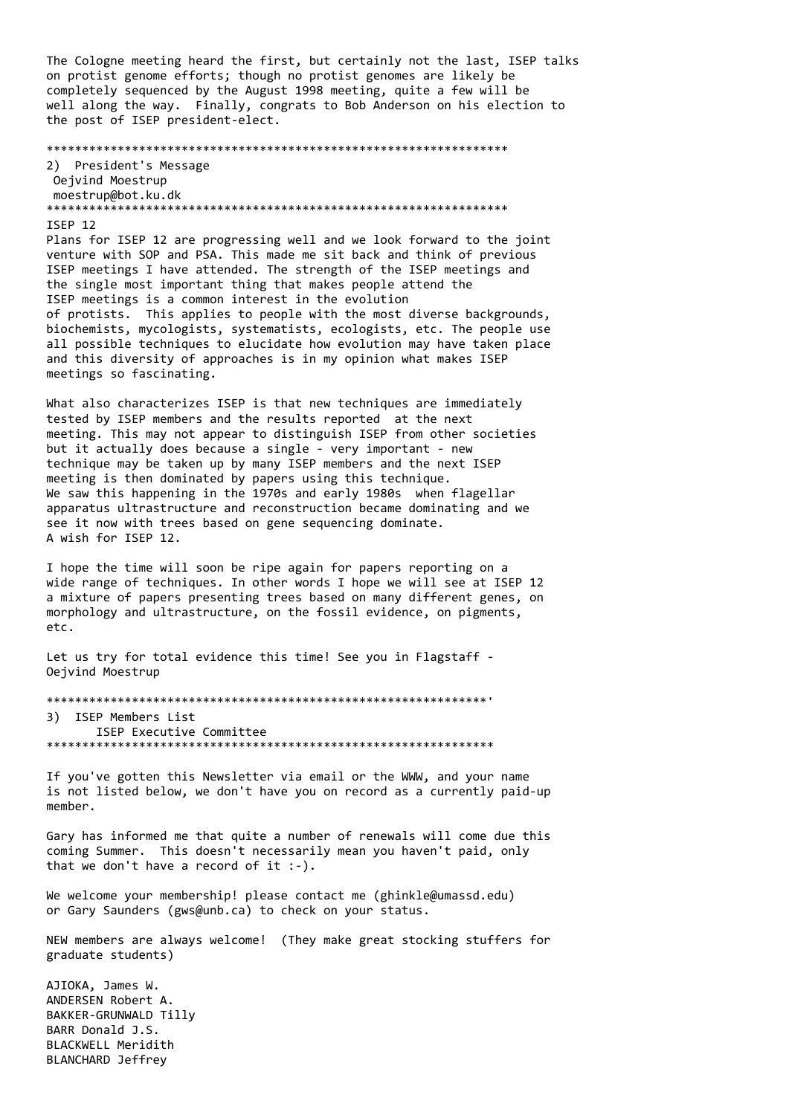The Cologne meeting heard the first, but certainly not the last, ISEP talks on protist genome efforts; though no protist genomes are likely be completely sequenced by the August 1998 meeting, quite a few will be well along the way. Finally, congrats to Bob Anderson on his election to the post of ISEP president-elect.

#### 

2) President's Message Oejvind Moestrup moestrup@bot.ku.dk 

#### ISEP 12

Plans for ISEP 12 are progressing well and we look forward to the joint venture with SOP and PSA. This made me sit back and think of previous ISEP meetings I have attended. The strength of the ISEP meetings and the single most important thing that makes people attend the ISEP meetings is a common interest in the evolution of protists. This applies to people with the most diverse backgrounds, biochemists, mycologists, systematists, ecologists, etc. The people use all possible techniques to elucidate how evolution may have taken place and this diversity of approaches is in my opinion what makes ISEP meetings so fascinating.

What also characterizes ISEP is that new techniques are immediately tested by ISEP members and the results reported at the next meeting. This may not appear to distinguish ISEP from other societies but it actually does because a single - very important - new technique may be taken up by many ISEP members and the next ISEP meeting is then dominated by papers using this technique. We saw this happening in the 1970s and early 1980s when flagellar apparatus ultrastructure and reconstruction became dominating and we see it now with trees based on gene sequencing dominate. A wish for ISEP 12.

I hope the time will soon be ripe again for papers reporting on a wide range of techniques. In other words I hope we will see at ISEP 12 a mixture of papers presenting trees based on many different genes, on morphology and ultrastructure, on the fossil evidence, on pigments, etc.

Let us try for total evidence this time! See you in Flagstaff -Oejvind Moestrup

3) ISEP Members List ISEP Executive Committee 

If you've gotten this Newsletter yia email or the WWW, and your name is not listed below, we don't have you on record as a currently paid-up member.

Gary has informed me that quite a number of renewals will come due this coming Summer. This doesn't necessarily mean you haven't paid, only that we don't have a record of it  $:-$ ).

We welcome your membership! please contact me (ghinkle@umassd.edu) or Gary Saunders (gws@unb.ca) to check on your status.

NEW members are always welcome! (They make great stocking stuffers for graduate students)

AJIOKA, James W. ANDERSEN Robert A. BAKKER-GRUNWALD Tilly BARR Donald J.S. BLACKWELL Meridith BLANCHARD Jeffrey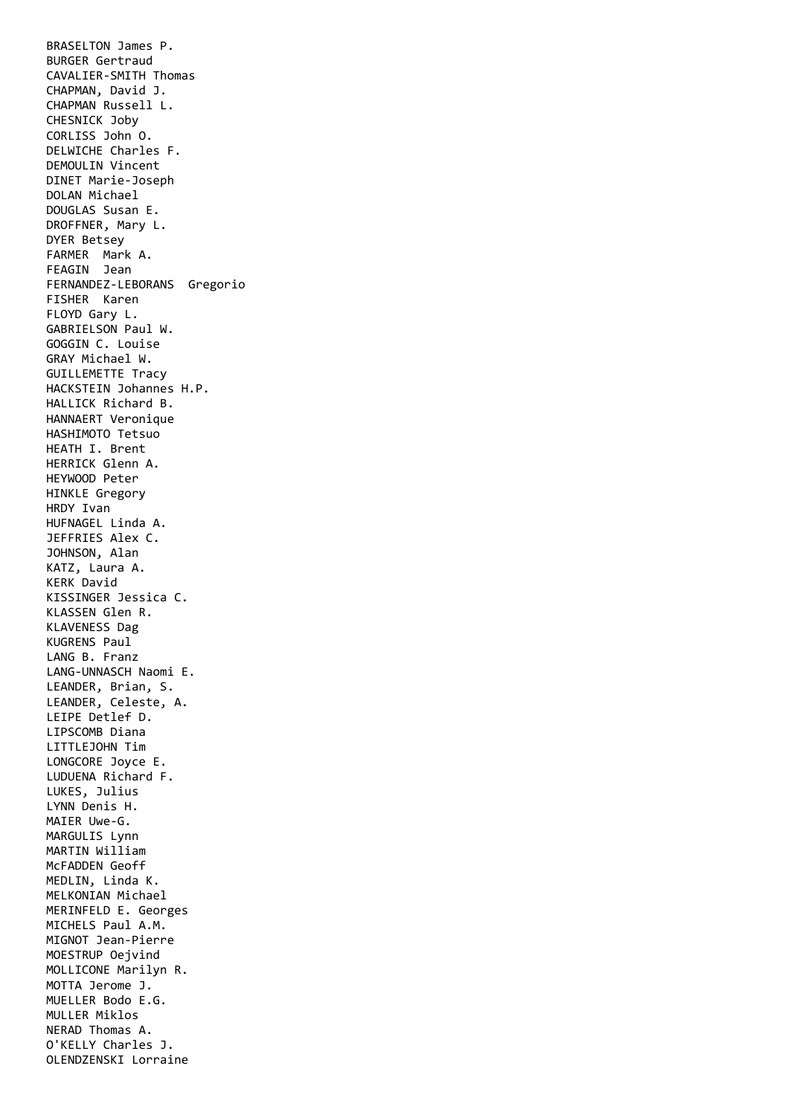BRASELTON James P. BURGER Gertraud CAVALIER-SMITH Thomas CHAPMAN, David J. CHAPMAN Russell L. CHESNICK Joby CORLISS John O. DELWICHE Charles F. DEMOULIN Vincent DINET Marie-Joseph DOLAN Michael DOUGLAS Susan E. DROFFNER, Mary L. DYER Betsey FARMER Mark A. FEAGIN Jean FERNANDEZ-LEBORANS Gregorio FISHER Karen FLOYD Gary L. GABRIELSON Paul W. GOGGIN C. Louise GRAY Michael W. GUILLEMETTE Tracy HACKSTEIN Johannes H.P. HALLICK Richard B. HANNAERT Veronique HASHIMOTO Tetsuo HEATH I. Brent HERRICK Glenn A. HEYWOOD Peter HINKLE Gregory HRDY Ivan HUFNAGEL Linda A. JEFFRIES Alex C. JOHNSON, Alan KATZ, Laura A. KERK David KISSINGER Jessica C. KLASSEN Glen R. KLAVENESS Dag KUGRENS Paul LANG B. Franz LANG-UNNASCH Naomi E. LEANDER, Brian, S. LEANDER, Celeste, A. LEIPE Detlef D. LIPSCOMB Diana LITTLEJOHN Tim LONGCORE Joyce E. LUDUENA Richard F. LUKES, Julius LYNN Denis H. MAIER Uwe-G. MARGULIS Lynn MARTIN William McFADDEN Geoff MEDLIN, Linda K. MELKONIAN Michael MERINFELD E. Georges MICHELS Paul A.M. MIGNOT Jean-Pierre MOESTRUP Oeivind MOLLICONE Marilyn R. MOTTA Jerome J. MUELLER Bodo E.G. MULLER Miklos NERAD Thomas A. O'KELLY Charles J. OLENDZENSKI Lorraine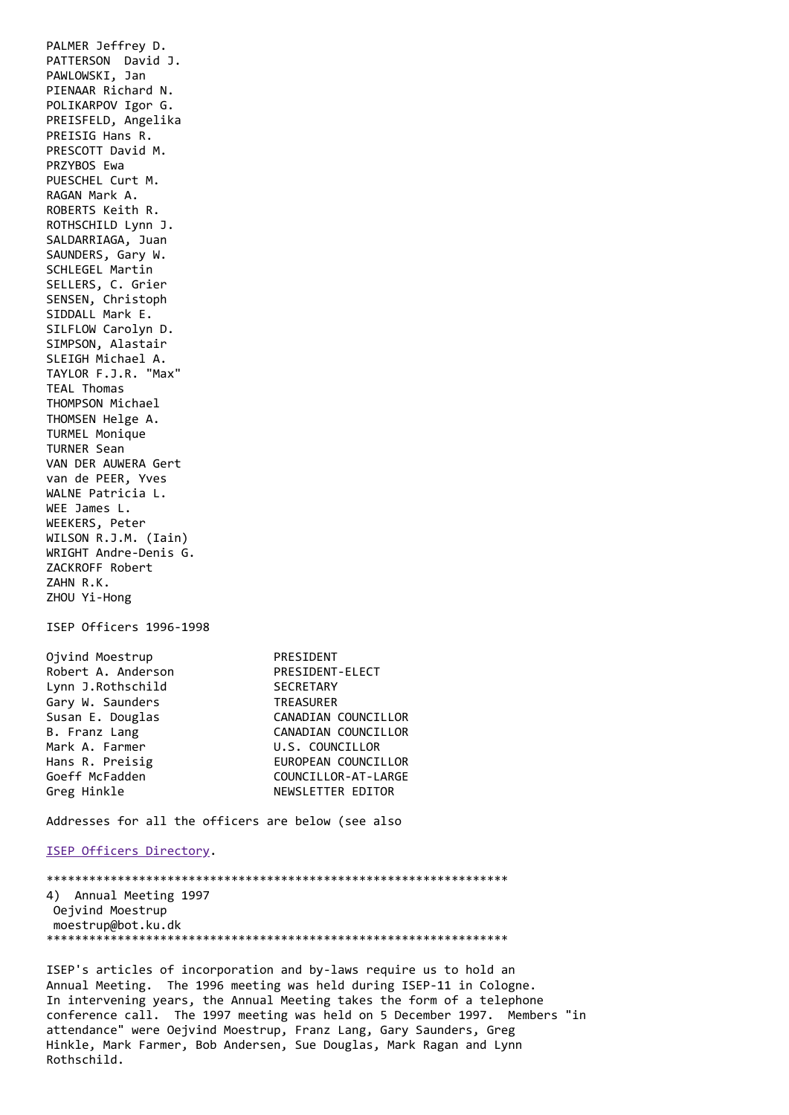PALMER Jeffrey D. PATTERSON David J. PAWLOWSKI, Jan PIENAAR Richard N. POLIKARPOV Igor G. PREISFELD, Angelika PREISIG Hans R. PRESCOTT David M. PRZYBOS Ewa PUESCHEL Curt M. RAGAN Mark A. ROBERTS Keith R. ROTHSCHILD Lynn J. SALDARRIAGA, Juan SAUNDERS, Gary W. SCHLEGEL Martin SELLERS, C. Grier SENSEN, Christoph SIDDALL Mark E. SILFLOW Carolyn D. SIMPSON, Alastair SLEIGH Michael A. TAYLOR F.J.R. "Max" TEAL Thomas THOMPSON Michael THOMSEN Helge A. TURMEL Monique TURNER Sean VAN DER AUWERA Gert van de PEER, Yves WALNE Patricia L. WEE James L. WEEKERS, Peter WILSON R.J.M. (Iain) WRIGHT Andre-Denis G. ZACKROFF Robert ZAHN R.K. ZHOU Yi-Hong ISEP Officers 1996-1998 Ojvind Moestrup PRESIDENT Robert A. Anderson PRESIDENT-ELECT Lynn J.Rothschild SECRETARY Gary W. Saunders TREASURER Susan E. Douglas CANADIAN COUNCILLOR<br>
B. Franz Lang CANADIAN COUNCILLOR CANADIAN COUNCILLOR Mark A. Farmer U.S. COUNCILLOR Hans R. Preisig **EUROPEAN COUNCILLOR** Goeff McFadden COUNCILLOR-AT-LARGE Greg Hinkle NEWSLETTER EDITOR Addresses for all the officers are below (see also [ISEP Officers Directory](http://megasun.bch.umontreal.ca/isep/officers96.html). \*\*\*\*\*\*\*\*\*\*\*\*\*\*\*\*\*\*\*\*\*\*\*\*\*\*\*\*\*\*\*\*\*\*\*\*\*\*\*\*\*\*\*\*\*\*\*\*\*\*\*\*\*\*\*\*\*\*\*\*\*\*\*\*\* 4) Annual Meeting 1997 Oejvind Moestrup moestrup@bot.ku.dk \*\*\*\*\*\*\*\*\*\*\*\*\*\*\*\*\*\*\*\*\*\*\*\*\*\*\*\*\*\*\*\*\*\*\*\*\*\*\*\*\*\*\*\*\*\*\*\*\*\*\*\*\*\*\*\*\*\*\*\*\*\*\*\*\*

ISEP's articles of incorporation and by-laws require us to hold an Annual Meeting. The 1996 meeting was held during ISEP-11 in Cologne. In intervening years, the Annual Meeting takes the form of a telephone conference call. The 1997 meeting was held on 5 December 1997. Members "in attendance" were Oejvind Moestrup, Franz Lang, Gary Saunders, Greg Hinkle, Mark Farmer, Bob Andersen, Sue Douglas, Mark Ragan and Lynn Rothschild.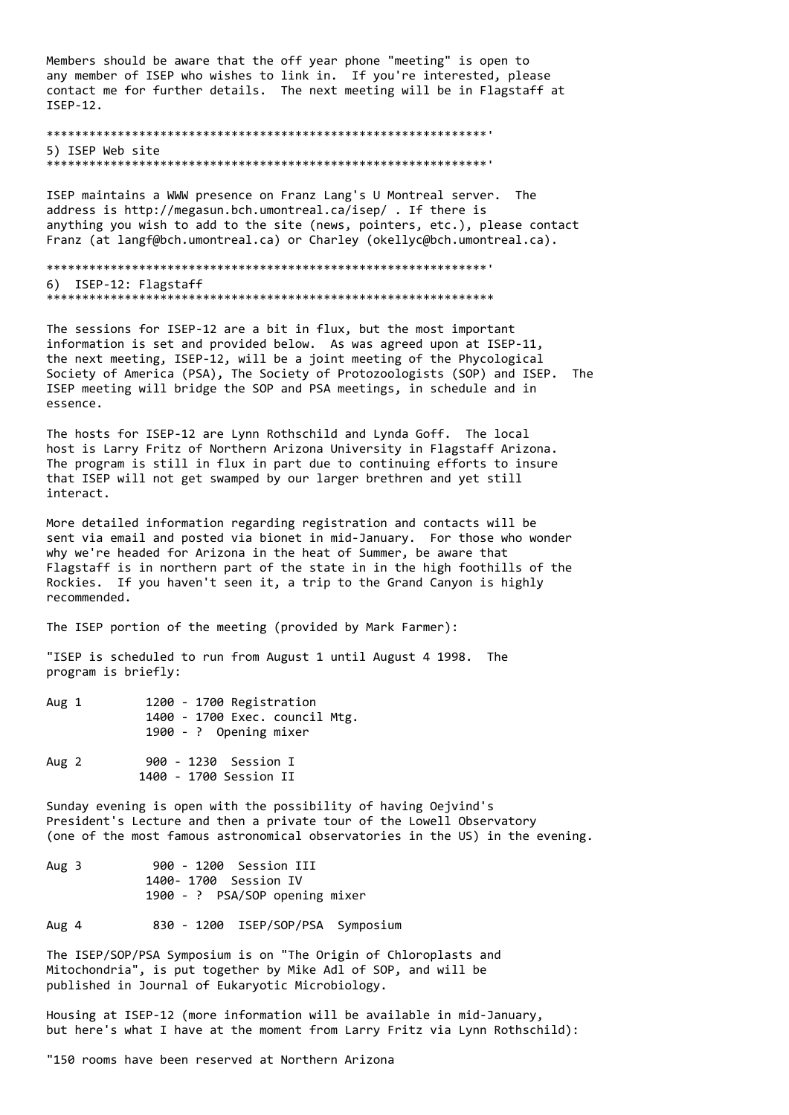Members should be aware that the off year phone "meeting" is open to any member of ISEP who wishes to link in. If you're interested, please contact me for further details. The next meeting will be in Flagstaff at ISEP-12.

## 5) ISEP Web site

ISEP maintains a WWW presence on Franz Lang's U Montreal server. The address is http://megasun.bch.umontreal.ca/isep/ . If there is anything you wish to add to the site (news, pointers, etc.), please contact Franz (at langf@bch.umontreal.ca) or Charley (okellyc@bch.umontreal.ca).

```
6) ISEP-12: Flagstaff
```
The sessions for ISEP-12 are a bit in flux, but the most important information is set and provided below. As was agreed upon at ISEP-11, the next meeting, ISEP-12, will be a joint meeting of the Phycological Society of America (PSA), The Society of Protozoologists (SOP) and ISEP. The ISEP meeting will bridge the SOP and PSA meetings, in schedule and in essence.

The hosts for ISEP-12 are Lynn Rothschild and Lynda Goff. The local host is Larry Fritz of Northern Arizona University in Flagstaff Arizona. The program is still in flux in part due to continuing efforts to insure that ISEP will not get swamped by our larger brethren and yet still interact.

More detailed information regarding registration and contacts will be sent via email and posted via bionet in mid-January. For those who wonder why we're headed for Arizona in the heat of Summer, be aware that Flagstaff is in northern part of the state in in the high foothills of the Rockies. If you haven't seen it, a trip to the Grand Canyon is highly recommended.

The ISEP portion of the meeting (provided by Mark Farmer):

"ISEP is scheduled to run from August 1 until August 4 1998. The program is briefly:

- 1200 1700 Registration Aug 1 1400 - 1700 Exec. council Mtg. 1900 - ? Opening mixer
- 900 1230 Session I Aug 2 1400 - 1700 Session II

Sunday evening is open with the possibility of having Oeivind's President's Lecture and then a private tour of the Lowell Observatory (one of the most famous astronomical observatories in the US) in the evening.

- 900 1200 Session III Aug 3 1400- 1700 Session IV 1900 - ? PSA/SOP opening mixer
- Aug 4 830 - 1200 ISEP/SOP/PSA Symposium

The ISEP/SOP/PSA Symposium is on "The Origin of Chloroplasts and Mitochondria", is put together by Mike Adl of SOP, and will be published in Journal of Eukaryotic Microbiology.

Housing at ISEP-12 (more information will be available in mid-January, but here's what I have at the moment from Larry Fritz via Lynn Rothschild):

"150 rooms have been reserved at Northern Arizona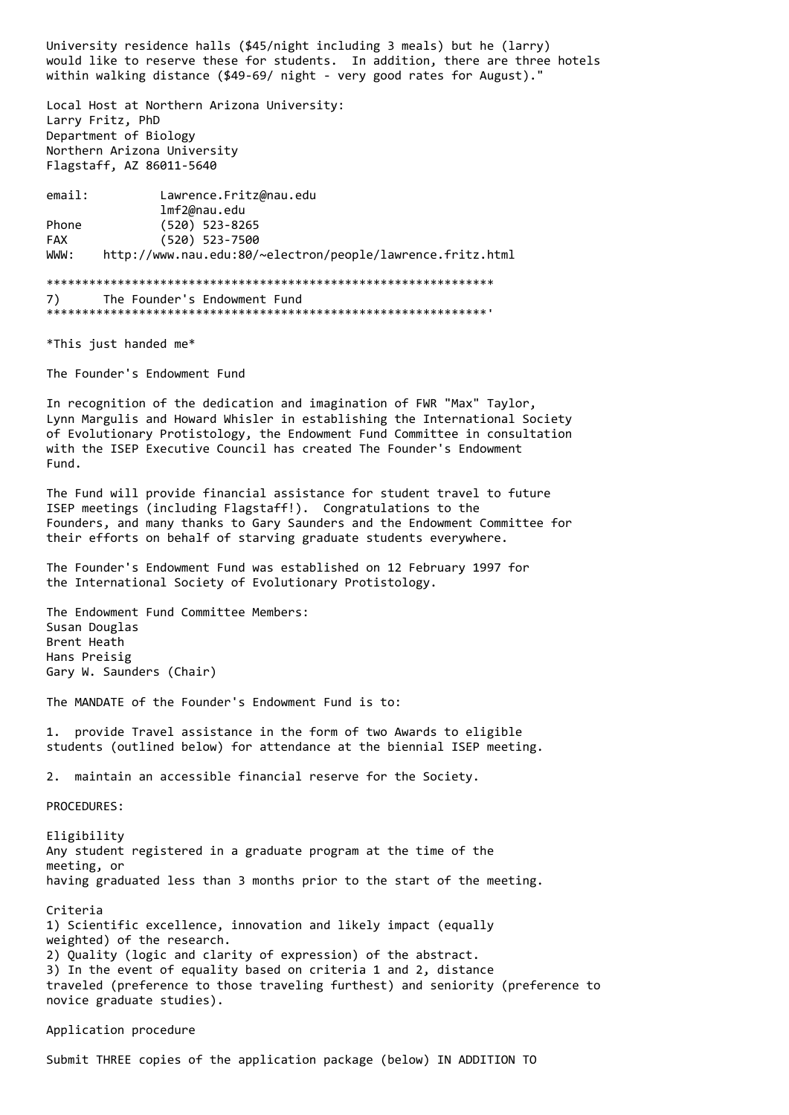University residence halls (\$45/night including 3 meals) but he (larry) would like to reserve these for students. In addition, there are three hotels within walking distance (\$49-69/ night - very good rates for August)."

Local Host at Northern Arizona University: Larry Fritz, PhD Department of Biology Northern Arizona University Flagstaff, AZ 86011-5640

email: Lawrence.Fritz@nau.edu lmf2@nau.edu Phone (520) 523-8265 FAX (520) 523-7500 WWW: http://www.nau.edu:80/~electron/people/lawrence.fritz.html

### \*\*\*\*\*\*\*\*\*\*\*\*\*\*\*\*\*\*\*\*\*\*\*\*\*\*\*\*\*\*\*\*\*\*\*\*\*\*\*\*\*\*\*\*\*\*\*\*\*\*\*\*\*\*\*\*\*\*\*\*\*\*\* 7) The Founder's Endowment Fund \*\*\*\*\*\*\*\*\*\*\*\*\*\*\*\*\*\*\*\*\*\*\*\*\*\*\*\*\*\*\*\*\*\*\*\*\*\*\*\*\*\*\*\*\*\*\*\*\*\*\*\*\*\*\*\*\*\*\*\*\*\*'

\*This just handed me\*

The Founder's Endowment Fund

In recognition of the dedication and imagination of FWR "Max" Taylor, Lynn Margulis and Howard Whisler in establishing the International Society of Evolutionary Protistology, the Endowment Fund Committee in consultation with the ISEP Executive Council has created The Founder's Endowment Fund.

The Fund will provide financial assistance for student travel to future ISEP meetings (including Flagstaff!). Congratulations to the Founders, and many thanks to Gary Saunders and the Endowment Committee for their efforts on behalf of starving graduate students everywhere.

The Founder's Endowment Fund was established on 12 February 1997 for the International Society of Evolutionary Protistology.

The Endowment Fund Committee Members: Susan Douglas Brent Heath Hans Preisig Gary W. Saunders (Chair)

The MANDATE of the Founder's Endowment Fund is to:

1. provide Travel assistance in the form of two Awards to eligible students (outlined below) for attendance at the biennial ISEP meeting.

2. maintain an accessible financial reserve for the Society.

PROCEDURES:

Eligibility Any student registered in a graduate program at the time of the meeting, or having graduated less than 3 months prior to the start of the meeting.

Criteria 1) Scientific excellence, innovation and likely impact (equally weighted) of the research. 2) Quality (logic and clarity of expression) of the abstract. 3) In the event of equality based on criteria 1 and 2, distance traveled (preference to those traveling furthest) and seniority (preference to novice graduate studies).

## Application procedure

Submit THREE copies of the application package (below) IN ADDITION TO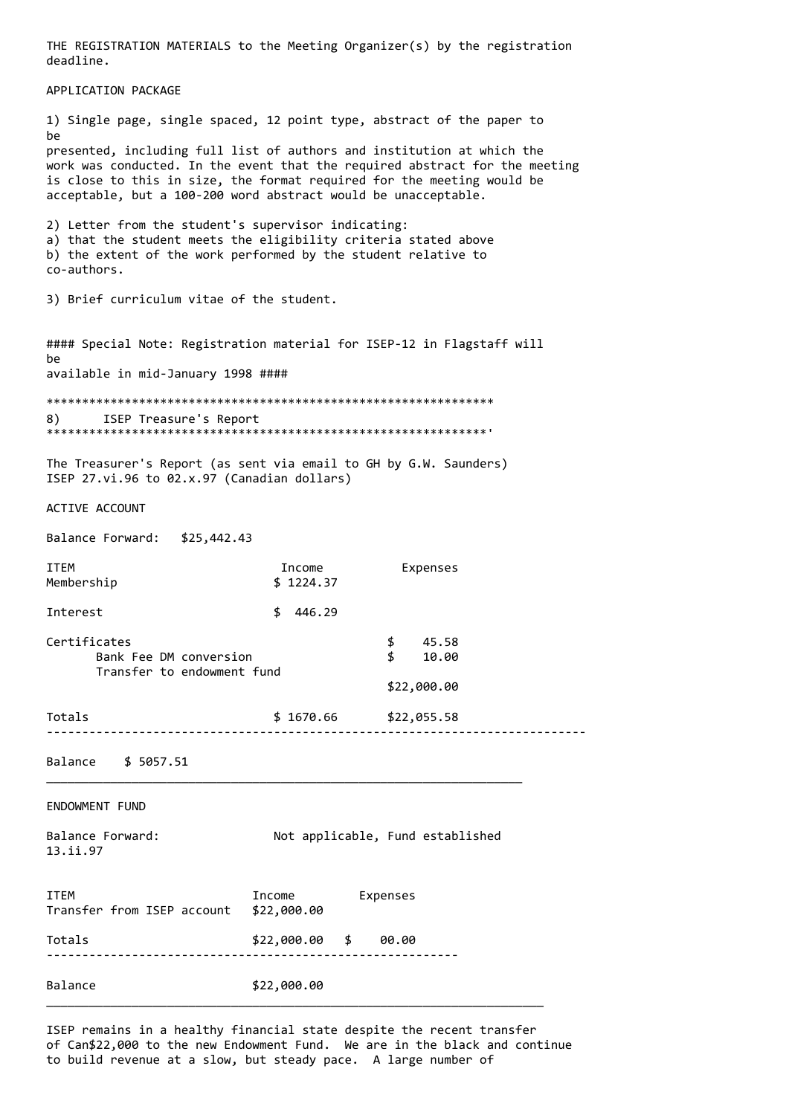THE REGISTRATION MATERIALS to the Meeting Organizer(s) by the registration deadline. APPLICATION PACKAGE 1) Single page, single spaced, 12 point type, abstract of the paper to be presented, including full list of authors and institution at which the work was conducted. In the event that the required abstract for the meeting is close to this in size, the format required for the meeting would be acceptable, but a 100-200 word abstract would be unacceptable. 2) Letter from the student's supervisor indicating: a) that the student meets the eligibility criteria stated above b) the extent of the work performed by the student relative to co-authors. 3) Brief curriculum vitae of the student. #### Special Note: Registration material for ISEP-12 in Flagstaff will he available in mid-January 1998 ####  $8)$ ISEP Treasure's Report The Treasurer's Report (as sent via email to GH by G.W. Saunders) ISEP 27.vi.96 to 02.x.97 (Canadian dollars) ACTIVE ACCOUNT Balance Forward: \$25,442.43 **ITEM** Income Expenses Membership  $$1224.37$ Interest  $$446.29$ Certificates  $$ 45.58$ Bank Fee DM conversion  $$10.00$ Transfer to endowment fund \$22,000.00 Totals \$1670.66 \$22,055.58 Balance \$ 5057.51 FNDOWMENT FUND Balance Forward: Not applicable, Fund established 13.ii.97 Expenses **TTFM** Income Transfer from ISEP account \$22,000.00  $$22,000.00 $ $ 00.00$ Totals Balance \$22,000.00

ISEP remains in a healthy financial state despite the recent transfer of Can\$22,000 to the new Endowment Fund. We are in the black and continue to build revenue at a slow, but steady pace. A large number of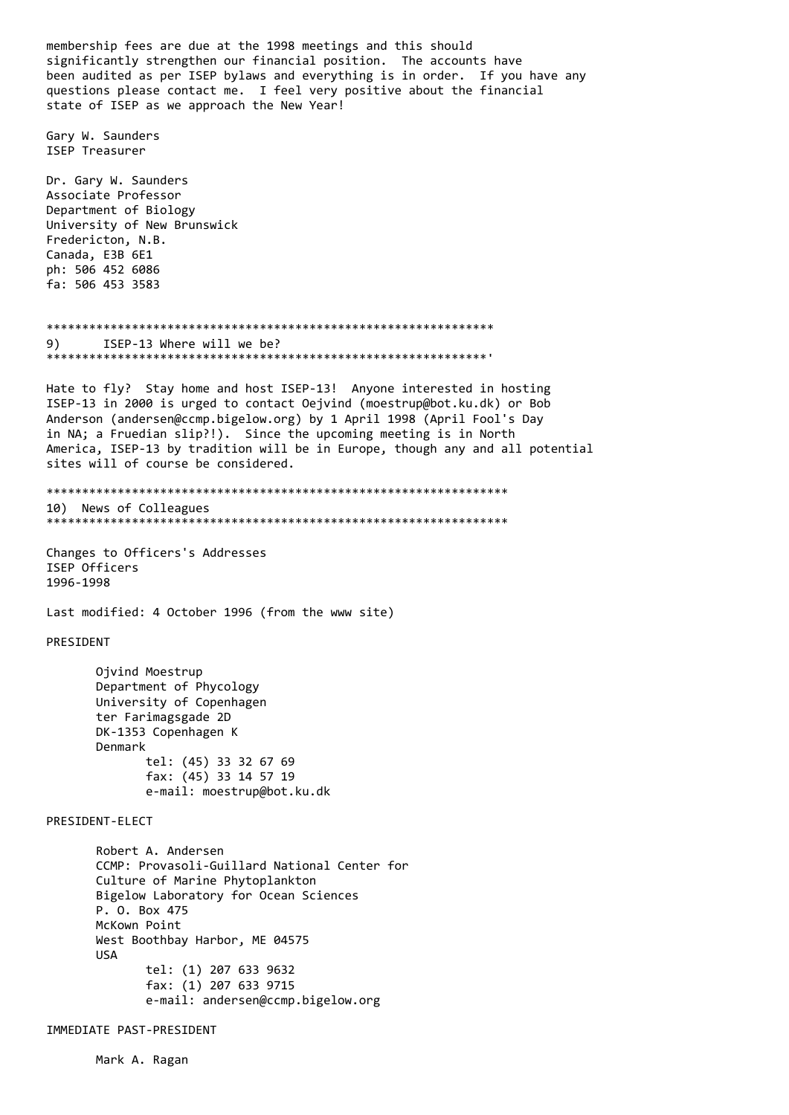membership fees are due at the 1998 meetings and this should significantly strengthen our financial position. The accounts have been audited as per ISEP bylaws and everything is in order. If you have any questions please contact me. I feel very positive about the financial state of ISEP as we approach the New Year! Gary W. Saunders ISEP Treasurer Dr. Gary W. Saunders Associate Professor Department of Biology University of New Brunswick Fredericton, N.B. Canada, E3B 6E1 ph: 506 452 6086 fa: 506 453 3583 ISEP-13 Where will we be?  $9)$ Hate to fly? Stay home and host ISEP-13! Anyone interested in hosting ISEP-13 in 2000 is urged to contact Oejvind (moestrup@bot.ku.dk) or Bob Anderson (andersen@ccmp.bigelow.org) by 1 April 1998 (April Fool's Day in NA; a Fruedian slip?!). Since the upcoming meeting is in North America, ISEP-13 by tradition will be in Europe, though any and all potential sites will of course be considered. 10) News of Colleagues Changes to Officers's Addresses ISEP Officers 1996-1998 Last modified: 4 October 1996 (from the www site) PRESIDENT Ojvind Moestrup Department of Phycology University of Copenhagen ter Farimagsgade 2D DK-1353 Copenhagen K Denmark tel: (45) 33 32 67 69 fax: (45) 33 14 57 19 e-mail: moestrup@bot.ku.dk PRESTDENT-FLECT Robert A. Andersen CCMP: Provasoli-Guillard National Center for Culture of Marine Phytoplankton Bigelow Laboratory for Ocean Sciences P. O. Box 475 McKown Point West Boothbay Harbor, ME 04575 **USA** tel: (1) 207 633 9632 fax: (1) 207 633 9715 e-mail: andersen@ccmp.bigelow.org IMMEDIATE PAST-PRESIDENT

Mark A. Ragan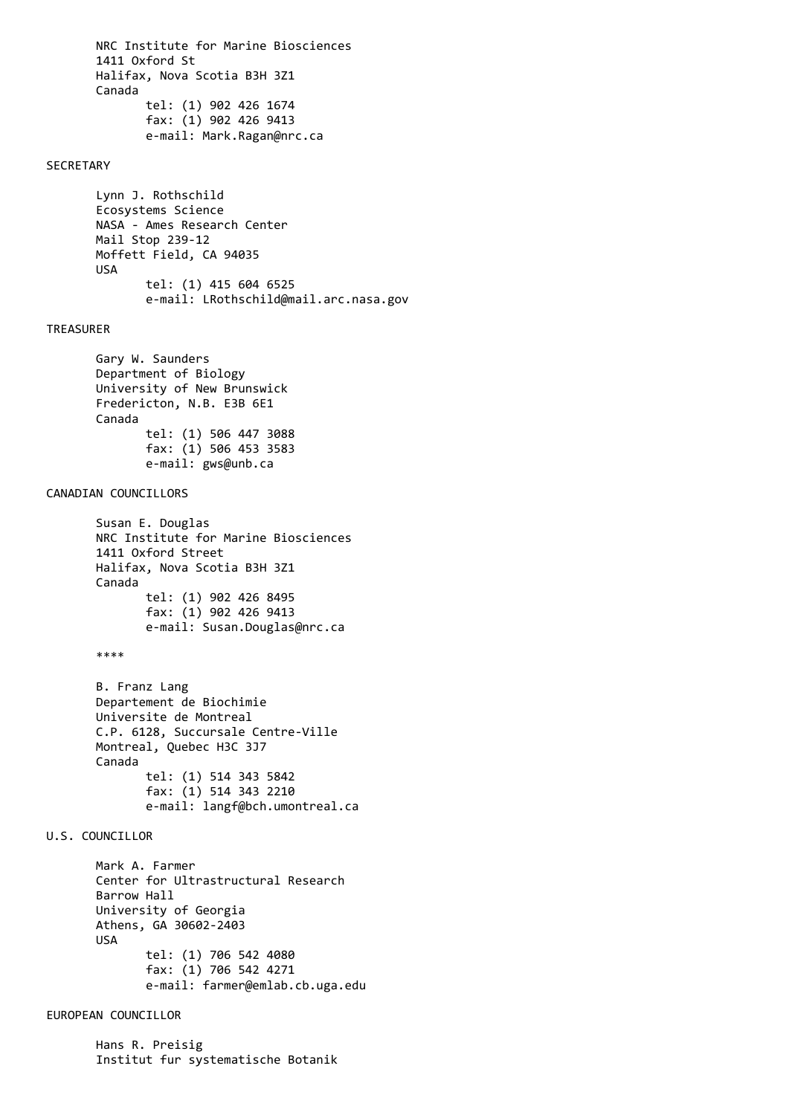NRC Institute for Marine Biosciences 1411 Oxford St Halifax, Nova Scotia B3H 3Z1 Canada tel: (1) 902 426 1674 fax: (1) 902 426 9413 e-mail: Mark.Ragan@nrc.ca

## SECRETARY

 Lynn J. Rothschild Ecosystems Science NASA - Ames Research Center Mail Stop 239-12 Moffett Field, CA 94035 USA tel: (1) 415 604 6525 e-mail: LRothschild@mail.arc.nasa.gov

### TREASURER

 Gary W. Saunders Department of Biology University of New Brunswick Fredericton, N.B. E3B 6E1 Canada tel: (1) 506 447 3088 fax: (1) 506 453 3583 e-mail: gws@unb.ca

### CANADIAN COUNCILLORS

 Susan E. Douglas NRC Institute for Marine Biosciences 1411 Oxford Street Halifax, Nova Scotia B3H 3Z1 Canada tel: (1) 902 426 8495 fax: (1) 902 426 9413 e-mail: Susan.Douglas@nrc.ca

\*\*\*\*

 B. Franz Lang Departement de Biochimie Universite de Montreal C.P. 6128, Succursale Centre-Ville Montreal, Quebec H3C 3J7 Canada tel: (1) 514 343 5842 fax: (1) 514 343 2210 e-mail: langf@bch.umontreal.ca

## U.S. COUNCILLOR

 Mark A. Farmer Center for Ultrastructural Research Barrow Hall University of Georgia Athens, GA 30602-2403 USA tel: (1) 706 542 4080 fax: (1) 706 542 4271 e-mail: farmer@emlab.cb.uga.edu

## EUROPEAN COUNCILLOR

 Hans R. Preisig Institut fur systematische Botanik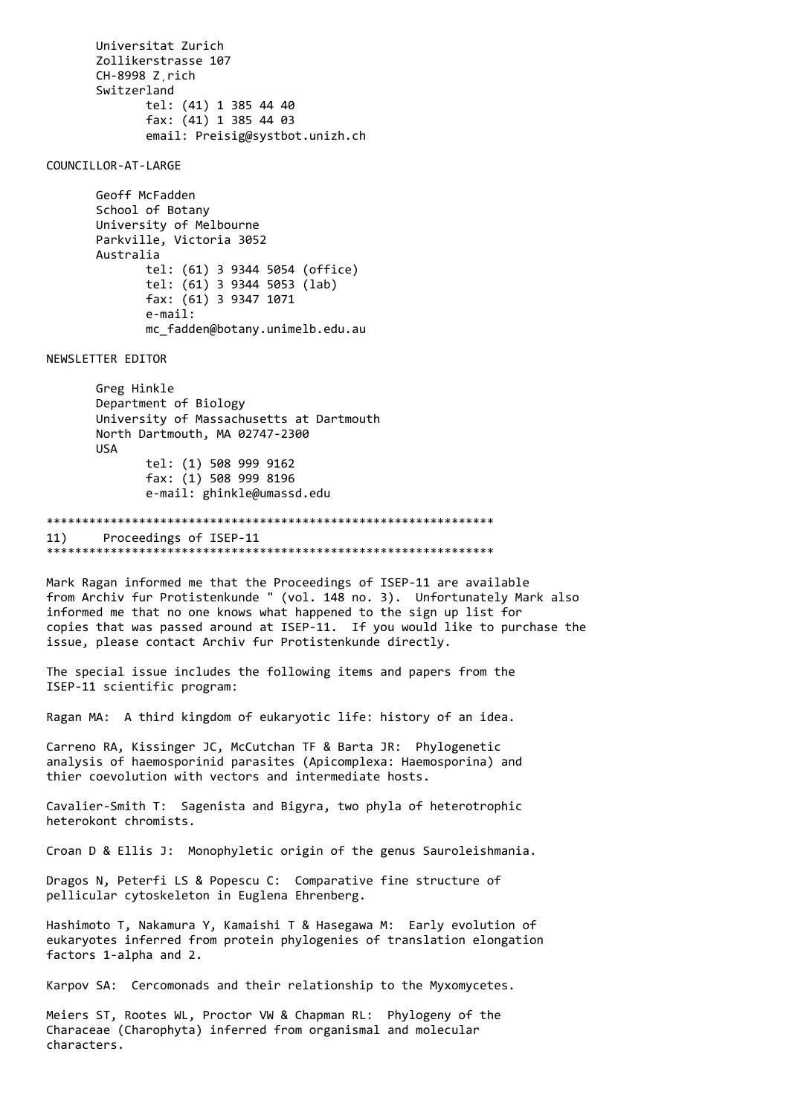Universitat Zurich Zollikerstrasse 107 CH-8998 Z¸rich Switzerland tel: (41) 1 385 44 40 fax: (41) 1 385 44 03 email: Preisig@systbot.unizh.ch

COUNCILLOR-AT-LARGE

 Geoff McFadden School of Botany University of Melbourne Parkville, Victoria 3052 Australia tel: (61) 3 9344 5054 (office) tel: (61) 3 9344 5053 (lab) fax: (61) 3 9347 1071 e-mail: mc\_fadden@botany.unimelb.edu.au

NEWSLETTER EDITOR

 Greg Hinkle Department of Biology University of Massachusetts at Dartmouth North Dartmouth, MA 02747-2300 USA tel: (1) 508 999 9162 fax: (1) 508 999 8196 e-mail: ghinkle@umassd.edu

\*\*\*\*\*\*\*\*\*\*\*\*\*\*\*\*\*\*\*\*\*\*\*\*\*\*\*\*\*\*\*\*\*\*\*\*\*\*\*\*\*\*\*\*\*\*\*\*\*\*\*\*\*\*\*\*\*\*\*\*\*\*\* 11) Proceedings of ISEP-11 \*\*\*\*\*\*\*\*\*\*\*\*\*\*\*\*\*\*\*\*\*\*\*\*\*\*\*\*\*\*\*\*\*\*\*\*\*\*\*\*\*\*\*\*\*\*\*\*\*\*\*\*\*\*\*\*\*\*\*\*\*\*\*

Mark Ragan informed me that the Proceedings of ISEP-11 are available from Archiv fur Protistenkunde " (vol. 148 no. 3). Unfortunately Mark also informed me that no one knows what happened to the sign up list for copies that was passed around at ISEP-11. If you would like to purchase the issue, please contact Archiv fur Protistenkunde directly.

The special issue includes the following items and papers from the ISEP-11 scientific program:

Ragan MA: A third kingdom of eukaryotic life: history of an idea.

Carreno RA, Kissinger JC, McCutchan TF & Barta JR: Phylogenetic analysis of haemosporinid parasites (Apicomplexa: Haemosporina) and thier coevolution with vectors and intermediate hosts.

Cavalier-Smith T: Sagenista and Bigyra, two phyla of heterotrophic heterokont chromists.

Croan D & Ellis J: Monophyletic origin of the genus Sauroleishmania.

Dragos N, Peterfi LS & Popescu C: Comparative fine structure of pellicular cytoskeleton in Euglena Ehrenberg.

Hashimoto T, Nakamura Y, Kamaishi T & Hasegawa M: Early evolution of eukaryotes inferred from protein phylogenies of translation elongation factors 1-alpha and 2.

Karpov SA: Cercomonads and their relationship to the Myxomycetes.

Meiers ST, Rootes WL, Proctor VW & Chapman RL: Phylogeny of the Characeae (Charophyta) inferred from organismal and molecular characters.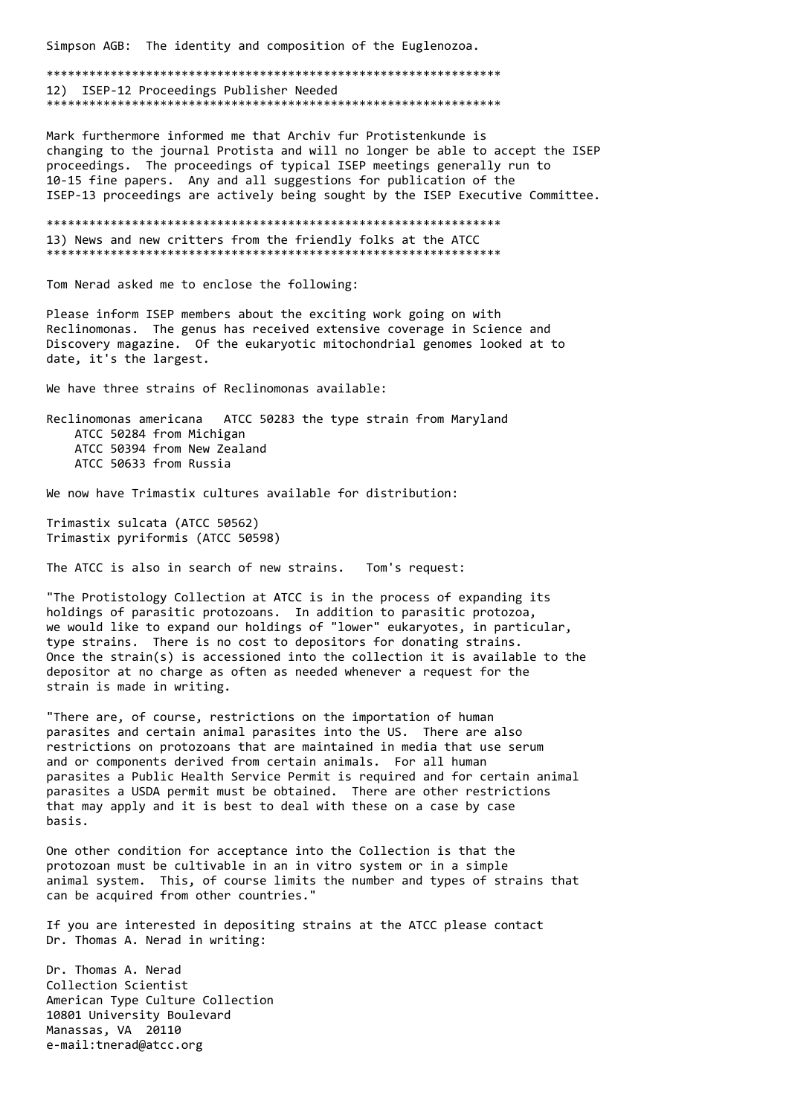Simpson AGB: The identity and composition of the Euglenozoa.

12) ISEP-12 Proceedings Publisher Needed 

Mark furthermore informed me that Archiv fur Protistenkunde is changing to the journal Protista and will no longer be able to accept the ISEP proceedings. The proceedings of typical ISEP meetings generally run to 10-15 fine papers. Any and all suggestions for publication of the ISEP-13 proceedings are actively being sought by the ISEP Executive Committee.

13) News and new critters from the friendly folks at the ATCC 

Tom Nerad asked me to enclose the following:

Please inform ISEP members about the exciting work going on with Reclinomonas. The genus has received extensive coverage in Science and Discovery magazine. Of the eukaryotic mitochondrial genomes looked at to date, it's the largest.

We have three strains of Reclinomonas available:

Reclinomonas americana ATCC 50283 the type strain from Maryland ATCC 50284 from Michigan ATCC 50394 from New Zealand ATCC 50633 from Russia

We now have Trimastix cultures available for distribution:

Trimastix sulcata (ATCC 50562) Trimastix pyriformis (ATCC 50598)

The ATCC is also in search of new strains. Tom's request:

"The Protistology Collection at ATCC is in the process of expanding its holdings of parasitic protozoans. In addition to parasitic protozoa, we would like to expand our holdings of "lower" eukaryotes, in particular, type strains. There is no cost to depositors for donating strains. Once the strain(s) is accessioned into the collection it is available to the depositor at no charge as often as needed whenever a request for the strain is made in writing.

"There are, of course, restrictions on the importation of human parasites and certain animal parasites into the US. There are also restrictions on protozoans that are maintained in media that use serum and or components derived from certain animals. For all human parasites a Public Health Service Permit is required and for certain animal parasites a USDA permit must be obtained. There are other restrictions that may apply and it is best to deal with these on a case by case hasis.

One other condition for acceptance into the Collection is that the protozoan must be cultivable in an in vitro system or in a simple animal system. This, of course limits the number and types of strains that can be acquired from other countries."

If you are interested in depositing strains at the ATCC please contact Dr. Thomas A. Nerad in writing:

Dr. Thomas A. Nerad Collection Scientist American Type Culture Collection 10801 University Boulevard Manassas, VA 20110 e-mail:tnerad@atcc.org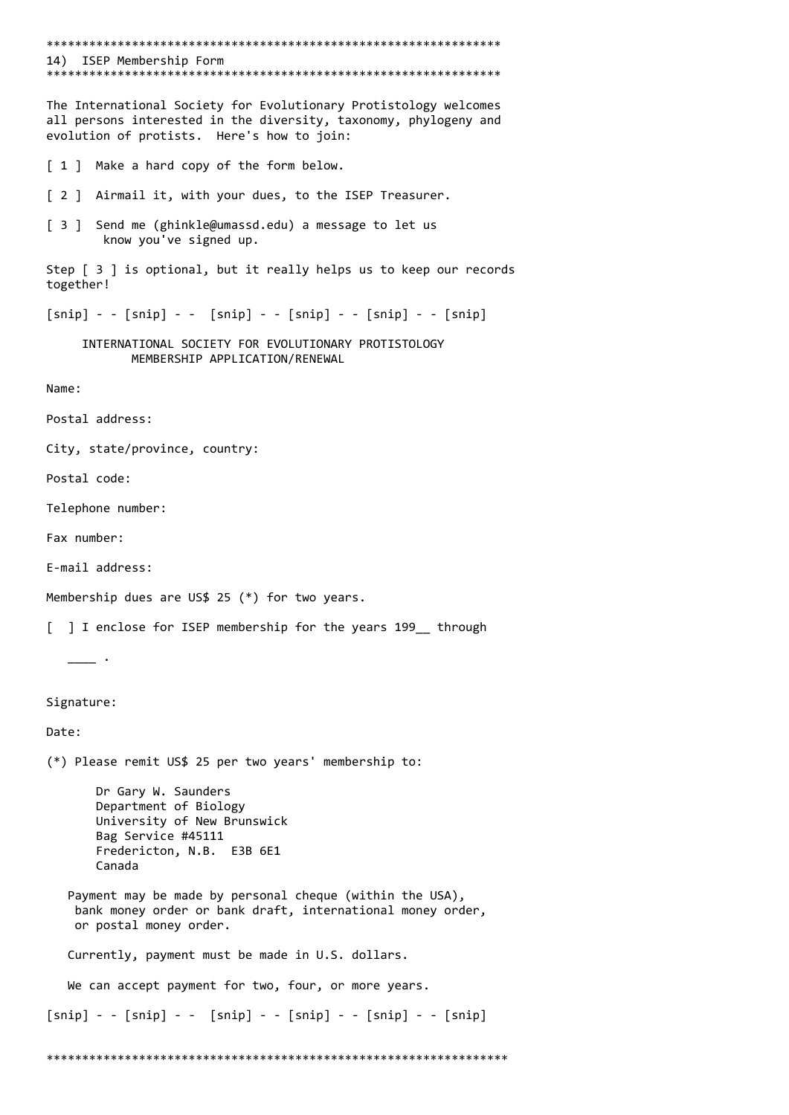\*\*\*\*\*\*\*\*\*\*\*\*\*\*\*\*\*\*\*\*\*\*\*\*\*\*\*\*\*\*\*\*\*\*\*\*\*\*\*\*\*\*\*\*\*\*\*\*\*\*\*\*\*\*\*\*\*\*\*\*\*\*\*\* 14) ISEP Membership Form \*\*\*\*\*\*\*\*\*\*\*\*\*\*\*\*\*\*\*\*\*\*\*\*\*\*\*\*\*\*\*\*\*\*\*\*\*\*\*\*\*\*\*\*\*\*\*\*\*\*\*\*\*\*\*\*\*\*\*\*\*\*\*\* The International Society for Evolutionary Protistology welcomes all persons interested in the diversity, taxonomy, phylogeny and evolution of protists. Here's how to join: [ 1 ] Make a hard copy of the form below. [ 2 ] Airmail it, with your dues, to the ISEP Treasurer. [ 3 ] Send me (ghinkle@umassd.edu) a message to let us know you've signed up. Step [ 3 ] is optional, but it really helps us to keep our records together!  $[snip] - - [snip] - - [snip] - - [snip] - - [snip] - - [snip]$  INTERNATIONAL SOCIETY FOR EVOLUTIONARY PROTISTOLOGY MEMBERSHIP APPLICATION/RENEWAL Name: Postal address: City, state/province, country: Postal code: Telephone number: Fax number: E-mail address: Membership dues are US\$ 25 (\*) for two years. [ ] I enclose for ISEP membership for the years 199 through  $\overline{\phantom{a}}$ . Signature: Date: (\*) Please remit US\$ 25 per two years' membership to: Dr Gary W. Saunders Department of Biology University of New Brunswick Bag Service #45111 Fredericton, N.B. E3B 6E1 Canada Payment may be made by personal cheque (within the USA), bank money order or bank draft, international money order, or postal money order. Currently, payment must be made in U.S. dollars. We can accept payment for two, four, or more years.  $[snip] - - [snip] - - [snip] - - [snip] - - [snip] - - [snip]$ \*\*\*\*\*\*\*\*\*\*\*\*\*\*\*\*\*\*\*\*\*\*\*\*\*\*\*\*\*\*\*\*\*\*\*\*\*\*\*\*\*\*\*\*\*\*\*\*\*\*\*\*\*\*\*\*\*\*\*\*\*\*\*\*\*